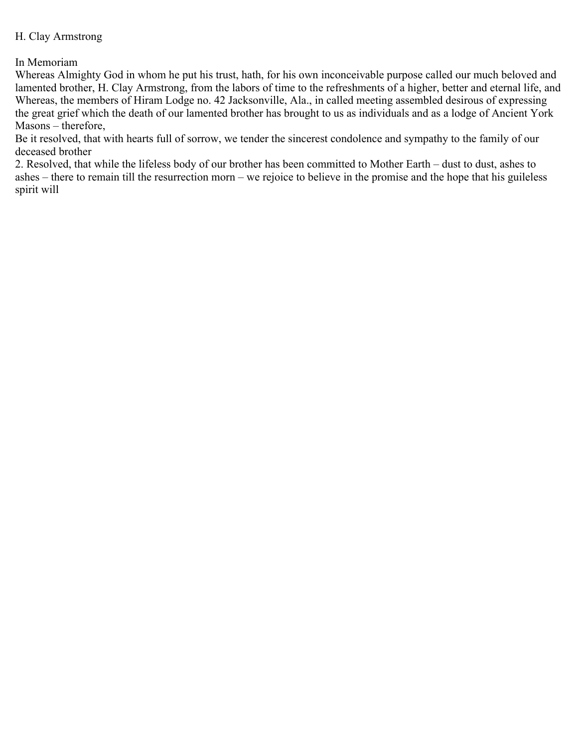## H. Clay Armstrong

In Memoriam

Whereas Almighty God in whom he put his trust, hath, for his own inconceivable purpose called our much beloved and lamented brother, H. Clay Armstrong, from the labors of time to the refreshments of a higher, better and eternal life, and Whereas, the members of Hiram Lodge no. 42 Jacksonville, Ala., in called meeting assembled desirous of expressing the great grief which the death of our lamented brother has brought to us as individuals and as a lodge of Ancient York Masons – therefore,

Be it resolved, that with hearts full of sorrow, we tender the sincerest condolence and sympathy to the family of our deceased brother

2. Resolved, that while the lifeless body of our brother has been committed to Mother Earth – dust to dust, ashes to ashes – there to remain till the resurrection morn – we rejoice to believe in the promise and the hope that his guileless spirit will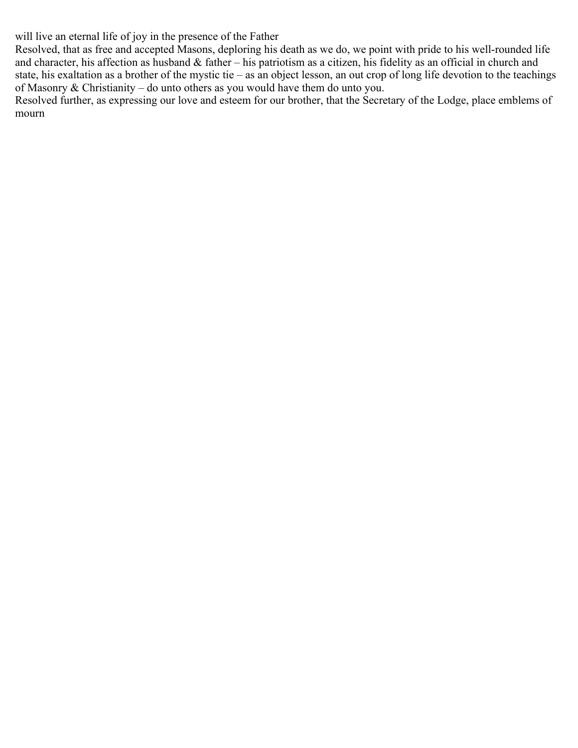will live an eternal life of joy in the presence of the Father

Resolved, that as free and accepted Masons, deploring his death as we do, we point with pride to his well-rounded life and character, his affection as husband & father – his patriotism as a citizen, his fidelity as an official in church and state, his exaltation as a brother of the mystic tie – as an object lesson, an out crop of long life devotion to the teachings of Masonry & Christianity – do unto others as you would have them do unto you.

Resolved further, as expressing our love and esteem for our brother, that the Secretary of the Lodge, place emblems of mourn